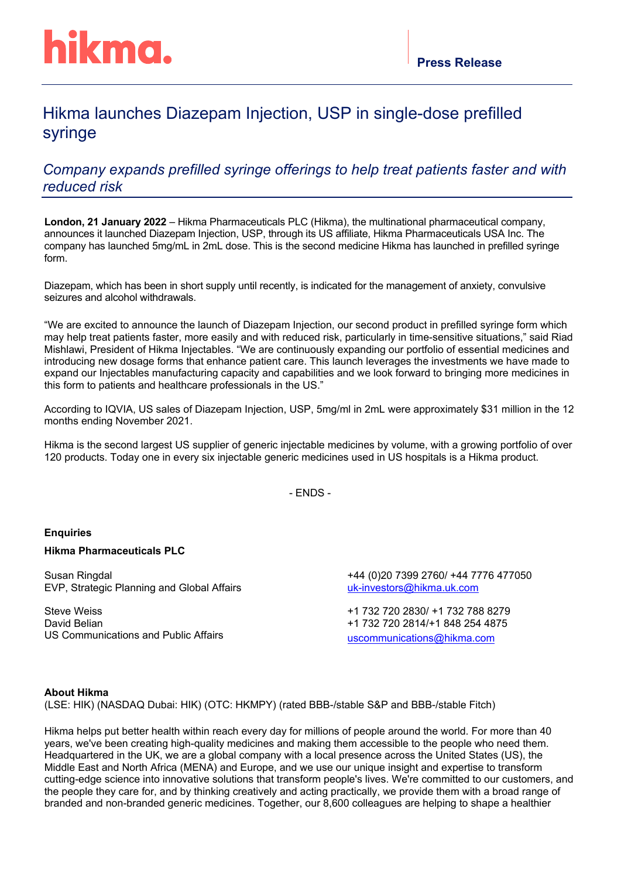# Hikma launches Diazepam Injection, USP in single-dose prefilled syringe

# *Company expands prefilled syringe offerings to help treat patients faster and with reduced risk*

**London, 21 January 2022** – Hikma Pharmaceuticals PLC (Hikma), the multinational pharmaceutical company, announces it launched Diazepam Injection, USP, through its US affiliate, Hikma Pharmaceuticals USA Inc. The company has launched 5mg/mL in 2mL dose. This is the second medicine Hikma has launched in prefilled syringe form.

Diazepam, which has been in short supply until recently, is indicated for the management of anxiety, convulsive seizures and alcohol withdrawals.

"We are excited to announce the launch of Diazepam Injection, our second product in prefilled syringe form which may help treat patients faster, more easily and with reduced risk, particularly in time-sensitive situations," said Riad Mishlawi, President of Hikma Injectables. "We are continuously expanding our portfolio of essential medicines and introducing new dosage forms that enhance patient care. This launch leverages the investments we have made to expand our Injectables manufacturing capacity and capabilities and we look forward to bringing more medicines in this form to patients and healthcare professionals in the US."

According to IQVIA, US sales of Diazepam Injection, USP, 5mg/ml in 2mL were approximately \$31 million in the 12 months ending November 2021.

Hikma is the second largest US supplier of generic injectable medicines by volume, with a growing portfolio of over 120 products. Today one in every six injectable generic medicines used in US hospitals is a Hikma product.

- ENDS -

# **Enquiries**

# **Hikma Pharmaceuticals PLC**

Susan Ringdal EVP, Strategic Planning and Global Affairs

Steve Weiss David Belian US Communications and Public Affairs +44 (0)20 7399 2760/ +44 7776 477050 [uk-investors@hikma.uk.com](mailto:uk-investors@hikma.uk.com)

+1 732 720 2830/ +1 732 788 8279 +1 732 720 2814/+1 848 254 4875 [uscommunications@hikma.com](mailto:sweiss@hikma.com)

#### **About Hikma**

(LSE: HIK) (NASDAQ Dubai: HIK) (OTC: HKMPY) (rated BBB-/stable S&P and BBB-/stable Fitch)

Hikma helps put better health within reach every day for millions of people around the world. For more than 40 years, we've been creating high-quality medicines and making them accessible to the people who need them. Headquartered in the UK, we are a global company with a local presence across the United States (US), the Middle East and North Africa (MENA) and Europe, and we use our unique insight and expertise to transform cutting-edge science into innovative solutions that transform people's lives. We're committed to our customers, and the people they care for, and by thinking creatively and acting practically, we provide them with a broad range of branded and non-branded generic medicines. Together, our 8,600 colleagues are helping to shape a healthier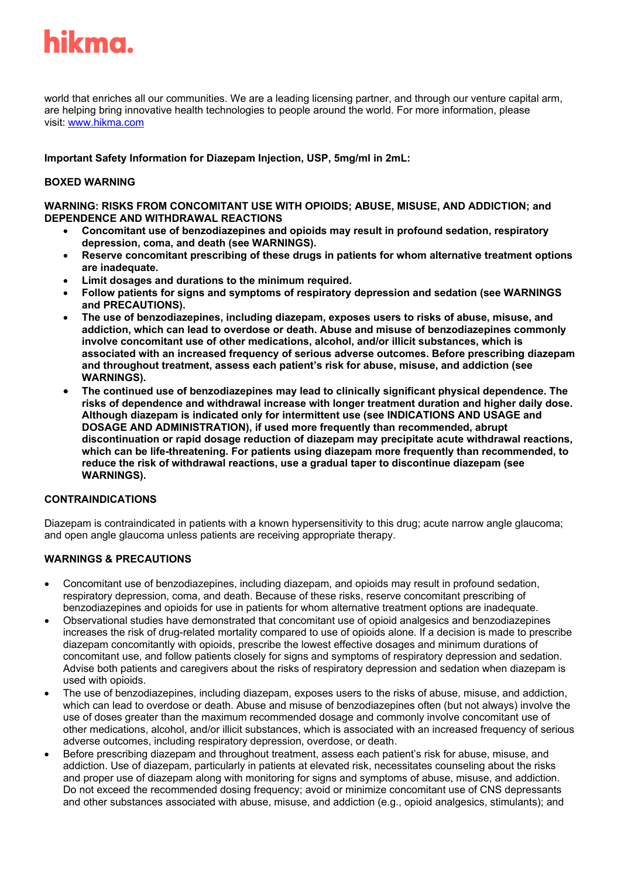

world that enriches all our communities. We are a leading licensing partner, and through our venture capital arm, are helping bring innovative health technologies to people around the world. For more information, please visit: [www.hikma.com](https://nam04.safelinks.protection.outlook.com/?url=https%3A%2F%2Fc212.net%2Fc%2Flink%2F%3Ft%3D0%26l%3Den%26o%3D2531421-1%26h%3D3823969217%26u%3Dhttp%253A%252F%252Fwww.hikma.com%252F%26a%3Dwww.hikma.com&data=02%7C01%7Csweiss%40Hikma.com%7C4a35048c8c764c63c86308d70efbac9e%7C178c1a723d3c40afbaa754615303bcdc%7C0%7C1%7C636994346427346162&sdata=lHZaoOb0u30Y6re6yfLW1Ar4vvBS%2FnjEUNdB00TBaTI%3D&reserved=0)

**Important Safety Information for Diazepam Injection, USP, 5mg/ml in 2mL:** 

# **BOXED WARNING**

**WARNING: RISKS FROM CONCOMITANT USE WITH OPIOIDS; ABUSE, MISUSE, AND ADDICTION; and DEPENDENCE AND WITHDRAWAL REACTIONS**

- **Concomitant use of benzodiazepines and opioids may result in profound sedation, respiratory depression, coma, and death (see WARNINGS).**
- **Reserve concomitant prescribing of these drugs in patients for whom alternative treatment options are inadequate.**
- **Limit dosages and durations to the minimum required.**
- **Follow patients for signs and symptoms of respiratory depression and sedation (see WARNINGS and PRECAUTIONS).**
- **The use of benzodiazepines, including diazepam, exposes users to risks of abuse, misuse, and addiction, which can lead to overdose or death. Abuse and misuse of benzodiazepines commonly involve concomitant use of other medications, alcohol, and/or illicit substances, which is associated with an increased frequency of serious adverse outcomes. Before prescribing diazepam and throughout treatment, assess each patient's risk for abuse, misuse, and addiction (see WARNINGS).**
- **The continued use of benzodiazepines may lead to clinically significant physical dependence. The risks of dependence and withdrawal increase with longer treatment duration and higher daily dose. Although diazepam is indicated only for intermittent use (see INDICATIONS AND USAGE and DOSAGE AND ADMINISTRATION), if used more frequently than recommended, abrupt discontinuation or rapid dosage reduction of diazepam may precipitate acute withdrawal reactions, which can be life-threatening. For patients using diazepam more frequently than recommended, to reduce the risk of withdrawal reactions, use a gradual taper to discontinue diazepam (see WARNINGS).**

#### **CONTRAINDICATIONS**

Diazepam is contraindicated in patients with a known hypersensitivity to this drug; acute narrow angle glaucoma; and open angle glaucoma unless patients are receiving appropriate therapy.

# **WARNINGS & PRECAUTIONS**

- Concomitant use of benzodiazepines, including diazepam, and opioids may result in profound sedation, respiratory depression, coma, and death. Because of these risks, reserve concomitant prescribing of benzodiazepines and opioids for use in patients for whom alternative treatment options are inadequate.
- Observational studies have demonstrated that concomitant use of opioid analgesics and benzodiazepines increases the risk of drug-related mortality compared to use of opioids alone. If a decision is made to prescribe diazepam concomitantly with opioids, prescribe the lowest effective dosages and minimum durations of concomitant use, and follow patients closely for signs and symptoms of respiratory depression and sedation. Advise both patients and caregivers about the risks of respiratory depression and sedation when diazepam is used with opioids.
- The use of benzodiazepines, including diazepam, exposes users to the risks of abuse, misuse, and addiction, which can lead to overdose or death. Abuse and misuse of benzodiazepines often (but not always) involve the use of doses greater than the maximum recommended dosage and commonly involve concomitant use of other medications, alcohol, and/or illicit substances, which is associated with an increased frequency of serious adverse outcomes, including respiratory depression, overdose, or death.
- Before prescribing diazepam and throughout treatment, assess each patient's risk for abuse, misuse, and addiction. Use of diazepam, particularly in patients at elevated risk, necessitates counseling about the risks and proper use of diazepam along with monitoring for signs and symptoms of abuse, misuse, and addiction. Do not exceed the recommended dosing frequency; avoid or minimize concomitant use of CNS depressants and other substances associated with abuse, misuse, and addiction (e.g., opioid analgesics, stimulants); and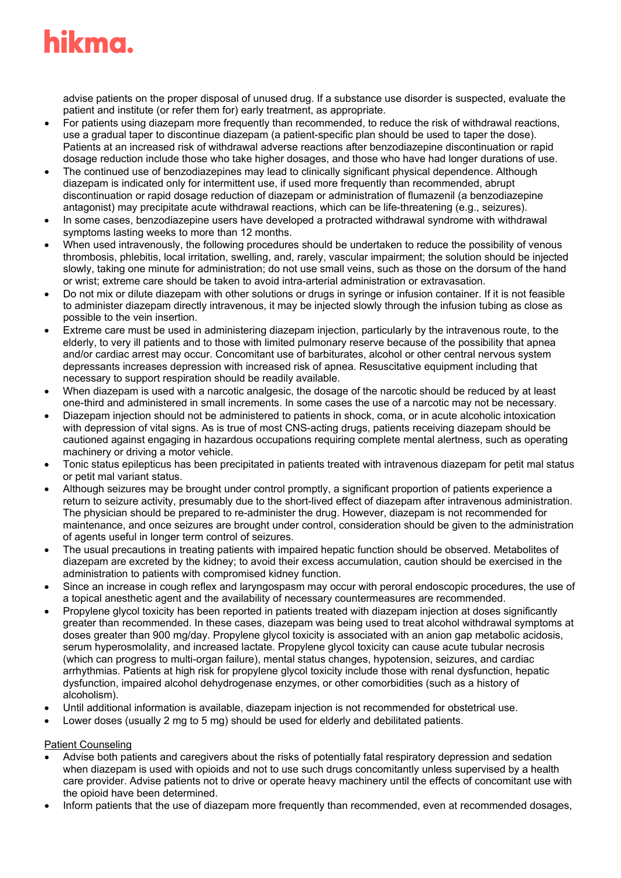# hikma.

advise patients on the proper disposal of unused drug. If a substance use disorder is suspected, evaluate the patient and institute (or refer them for) early treatment, as appropriate.

- For patients using diazepam more frequently than recommended, to reduce the risk of withdrawal reactions, use a gradual taper to discontinue diazepam (a patient-specific plan should be used to taper the dose). Patients at an increased risk of withdrawal adverse reactions after benzodiazepine discontinuation or rapid dosage reduction include those who take higher dosages, and those who have had longer durations of use.
- The continued use of benzodiazepines may lead to clinically significant physical dependence. Although diazepam is indicated only for intermittent use, if used more frequently than recommended, abrupt discontinuation or rapid dosage reduction of diazepam or administration of flumazenil (a benzodiazepine antagonist) may precipitate acute withdrawal reactions, which can be life-threatening (e.g., seizures).
- In some cases, benzodiazepine users have developed a protracted withdrawal syndrome with withdrawal symptoms lasting weeks to more than 12 months.
- When used intravenously, the following procedures should be undertaken to reduce the possibility of venous thrombosis, phlebitis, local irritation, swelling, and, rarely, vascular impairment; the solution should be injected slowly, taking one minute for administration; do not use small veins, such as those on the dorsum of the hand or wrist; extreme care should be taken to avoid intra-arterial administration or extravasation.
- Do not mix or dilute diazepam with other solutions or drugs in syringe or infusion container. If it is not feasible to administer diazepam directly intravenous, it may be injected slowly through the infusion tubing as close as possible to the vein insertion.
- Extreme care must be used in administering diazepam injection, particularly by the intravenous route, to the elderly, to very ill patients and to those with limited pulmonary reserve because of the possibility that apnea and/or cardiac arrest may occur. Concomitant use of barbiturates, alcohol or other central nervous system depressants increases depression with increased risk of apnea. Resuscitative equipment including that necessary to support respiration should be readily available.
- When diazepam is used with a narcotic analgesic, the dosage of the narcotic should be reduced by at least one-third and administered in small increments. In some cases the use of a narcotic may not be necessary.
- Diazepam injection should not be administered to patients in shock, coma, or in acute alcoholic intoxication with depression of vital signs. As is true of most CNS-acting drugs, patients receiving diazepam should be cautioned against engaging in hazardous occupations requiring complete mental alertness, such as operating machinery or driving a motor vehicle.
- Tonic status epilepticus has been precipitated in patients treated with intravenous diazepam for petit mal status or petit mal variant status.
- Although seizures may be brought under control promptly, a significant proportion of patients experience a return to seizure activity, presumably due to the short-lived effect of diazepam after intravenous administration. The physician should be prepared to re-administer the drug. However, diazepam is not recommended for maintenance, and once seizures are brought under control, consideration should be given to the administration of agents useful in longer term control of seizures.
- The usual precautions in treating patients with impaired hepatic function should be observed. Metabolites of diazepam are excreted by the kidney; to avoid their excess accumulation, caution should be exercised in the administration to patients with compromised kidney function.
- Since an increase in cough reflex and laryngospasm may occur with peroral endoscopic procedures, the use of a topical anesthetic agent and the availability of necessary countermeasures are recommended.
- Propylene glycol toxicity has been reported in patients treated with diazepam injection at doses significantly greater than recommended. In these cases, diazepam was being used to treat alcohol withdrawal symptoms at doses greater than 900 mg/day. Propylene glycol toxicity is associated with an anion gap metabolic acidosis, serum hyperosmolality, and increased lactate. Propylene glycol toxicity can cause acute tubular necrosis (which can progress to multi-organ failure), mental status changes, hypotension, seizures, and cardiac arrhythmias. Patients at high risk for propylene glycol toxicity include those with renal dysfunction, hepatic dysfunction, impaired alcohol dehydrogenase enzymes, or other comorbidities (such as a history of alcoholism).
- Until additional information is available, diazepam injection is not recommended for obstetrical use.
- Lower doses (usually 2 mg to 5 mg) should be used for elderly and debilitated patients.

# Patient Counseling

- Advise both patients and caregivers about the risks of potentially fatal respiratory depression and sedation when diazepam is used with opioids and not to use such drugs concomitantly unless supervised by a health care provider. Advise patients not to drive or operate heavy machinery until the effects of concomitant use with the opioid have been determined.
- Inform patients that the use of diazepam more frequently than recommended, even at recommended dosages,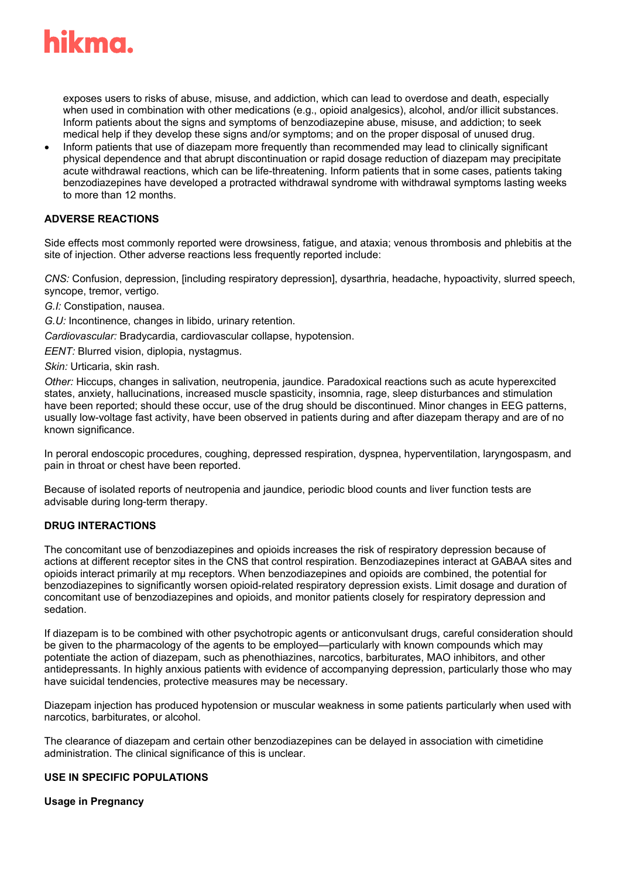

exposes users to risks of abuse, misuse, and addiction, which can lead to overdose and death, especially when used in combination with other medications (e.g., opioid analgesics), alcohol, and/or illicit substances. Inform patients about the signs and symptoms of benzodiazepine abuse, misuse, and addiction; to seek medical help if they develop these signs and/or symptoms; and on the proper disposal of unused drug.

• Inform patients that use of diazepam more frequently than recommended may lead to clinically significant physical dependence and that abrupt discontinuation or rapid dosage reduction of diazepam may precipitate acute withdrawal reactions, which can be life-threatening. Inform patients that in some cases, patients taking benzodiazepines have developed a protracted withdrawal syndrome with withdrawal symptoms lasting weeks to more than 12 months.

# **ADVERSE REACTIONS**

Side effects most commonly reported were drowsiness, fatigue, and ataxia; venous thrombosis and phlebitis at the site of injection. Other adverse reactions less frequently reported include:

*CNS:* Confusion, depression, [including respiratory depression], dysarthria, headache, hypoactivity, slurred speech, syncope, tremor, vertigo.

*G.I:* Constipation, nausea.

*G.U:* Incontinence, changes in libido, urinary retention.

*Cardiovascular:* Bradycardia, cardiovascular collapse, hypotension.

*EENT:* Blurred vision, diplopia, nystagmus.

*Skin:* Urticaria, skin rash.

*Other:* Hiccups, changes in salivation, neutropenia, jaundice. Paradoxical reactions such as acute hyperexcited states, anxiety, hallucinations, increased muscle spasticity, insomnia, rage, sleep disturbances and stimulation have been reported; should these occur, use of the drug should be discontinued. Minor changes in EEG patterns, usually low-voltage fast activity, have been observed in patients during and after diazepam therapy and are of no known significance.

In peroral endoscopic procedures, coughing, depressed respiration, dyspnea, hyperventilation, laryngospasm, and pain in throat or chest have been reported.

Because of isolated reports of neutropenia and jaundice, periodic blood counts and liver function tests are advisable during long-term therapy.

#### **DRUG INTERACTIONS**

The concomitant use of benzodiazepines and opioids increases the risk of respiratory depression because of actions at different receptor sites in the CNS that control respiration. Benzodiazepines interact at GABAA sites and opioids interact primarily at mμ receptors. When benzodiazepines and opioids are combined, the potential for benzodiazepines to significantly worsen opioid-related respiratory depression exists. Limit dosage and duration of concomitant use of benzodiazepines and opioids, and monitor patients closely for respiratory depression and sedation.

If diazepam is to be combined with other psychotropic agents or anticonvulsant drugs, careful consideration should be given to the pharmacology of the agents to be employed—particularly with known compounds which may potentiate the action of diazepam, such as phenothiazines, narcotics, barbiturates, MAO inhibitors, and other antidepressants. In highly anxious patients with evidence of accompanying depression, particularly those who may have suicidal tendencies, protective measures may be necessary.

Diazepam injection has produced hypotension or muscular weakness in some patients particularly when used with narcotics, barbiturates, or alcohol.

The clearance of diazepam and certain other benzodiazepines can be delayed in association with cimetidine administration. The clinical significance of this is unclear.

# **USE IN SPECIFIC POPULATIONS**

**Usage in Pregnancy**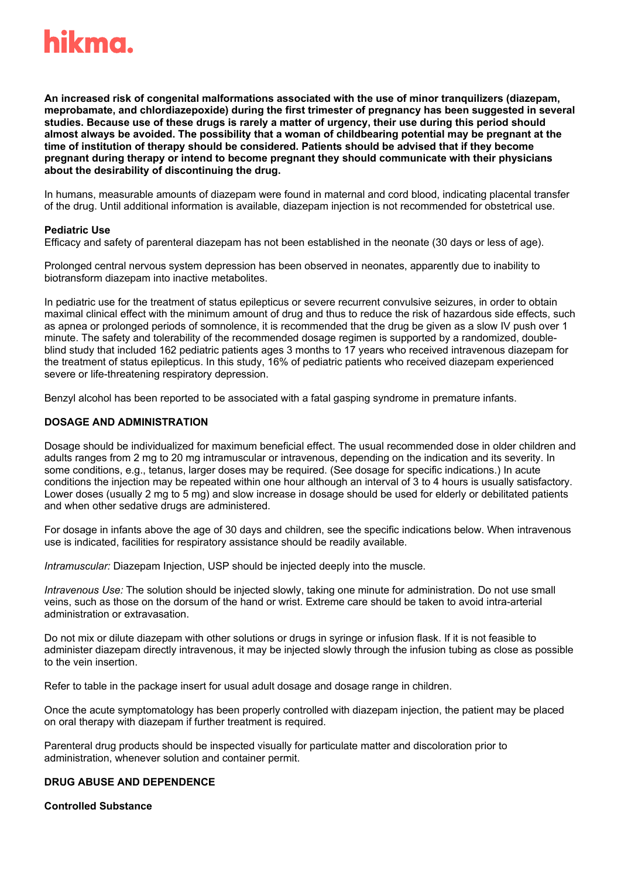

**An increased risk of congenital malformations associated with the use of minor tranquilizers (diazepam, meprobamate, and chlordiazepoxide) during the first trimester of pregnancy has been suggested in several studies. Because use of these drugs is rarely a matter of urgency, their use during this period should almost always be avoided. The possibility that a woman of childbearing potential may be pregnant at the time of institution of therapy should be considered. Patients should be advised that if they become pregnant during therapy or intend to become pregnant they should communicate with their physicians about the desirability of discontinuing the drug.**

In humans, measurable amounts of diazepam were found in maternal and cord blood, indicating placental transfer of the drug. Until additional information is available, diazepam injection is not recommended for obstetrical use.

#### **Pediatric Use**

Efficacy and safety of parenteral diazepam has not been established in the neonate (30 days or less of age).

Prolonged central nervous system depression has been observed in neonates, apparently due to inability to biotransform diazepam into inactive metabolites.

In pediatric use for the treatment of status epilepticus or severe recurrent convulsive seizures, in order to obtain maximal clinical effect with the minimum amount of drug and thus to reduce the risk of hazardous side effects, such as apnea or prolonged periods of somnolence, it is recommended that the drug be given as a slow IV push over 1 minute. The safety and tolerability of the recommended dosage regimen is supported by a randomized, doubleblind study that included 162 pediatric patients ages 3 months to 17 years who received intravenous diazepam for the treatment of status epilepticus. In this study, 16% of pediatric patients who received diazepam experienced severe or life-threatening respiratory depression.

Benzyl alcohol has been reported to be associated with a fatal gasping syndrome in premature infants.

#### **DOSAGE AND ADMINISTRATION**

Dosage should be individualized for maximum beneficial effect. The usual recommended dose in older children and adults ranges from 2 mg to 20 mg intramuscular or intravenous, depending on the indication and its severity. In some conditions, e.g., tetanus, larger doses may be required. (See dosage for specific indications.) In acute conditions the injection may be repeated within one hour although an interval of 3 to 4 hours is usually satisfactory. Lower doses (usually 2 mg to 5 mg) and slow increase in dosage should be used for elderly or debilitated patients and when other sedative drugs are administered.

For dosage in infants above the age of 30 days and children, see the specific indications below. When intravenous use is indicated, facilities for respiratory assistance should be readily available.

*Intramuscular:* Diazepam Injection, USP should be injected deeply into the muscle.

*Intravenous Use:* The solution should be injected slowly, taking one minute for administration. Do not use small veins, such as those on the dorsum of the hand or wrist. Extreme care should be taken to avoid intra-arterial administration or extravasation.

Do not mix or dilute diazepam with other solutions or drugs in syringe or infusion flask. If it is not feasible to administer diazepam directly intravenous, it may be injected slowly through the infusion tubing as close as possible to the vein insertion.

Refer to table in the package insert for usual adult dosage and dosage range in children.

Once the acute symptomatology has been properly controlled with diazepam injection, the patient may be placed on oral therapy with diazepam if further treatment is required.

Parenteral drug products should be inspected visually for particulate matter and discoloration prior to administration, whenever solution and container permit.

#### **DRUG ABUSE AND DEPENDENCE**

**Controlled Substance**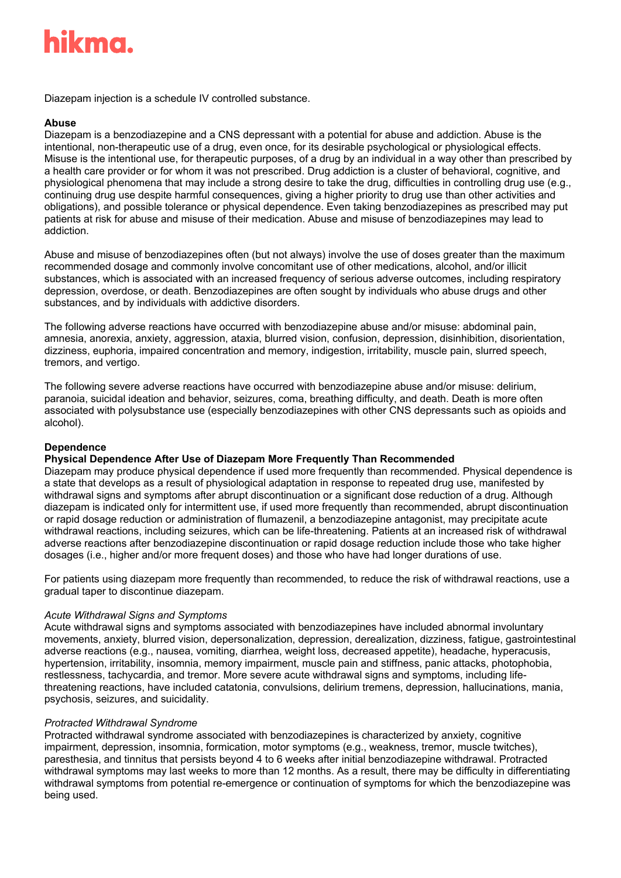# hikma.

Diazepam injection is a schedule IV controlled substance.

# **Abuse**

Diazepam is a benzodiazepine and a CNS depressant with a potential for abuse and addiction. Abuse is the intentional, non-therapeutic use of a drug, even once, for its desirable psychological or physiological effects. Misuse is the intentional use, for therapeutic purposes, of a drug by an individual in a way other than prescribed by a health care provider or for whom it was not prescribed. Drug addiction is a cluster of behavioral, cognitive, and physiological phenomena that may include a strong desire to take the drug, difficulties in controlling drug use (e.g., continuing drug use despite harmful consequences, giving a higher priority to drug use than other activities and obligations), and possible tolerance or physical dependence. Even taking benzodiazepines as prescribed may put patients at risk for abuse and misuse of their medication. Abuse and misuse of benzodiazepines may lead to addiction.

Abuse and misuse of benzodiazepines often (but not always) involve the use of doses greater than the maximum recommended dosage and commonly involve concomitant use of other medications, alcohol, and/or illicit substances, which is associated with an increased frequency of serious adverse outcomes, including respiratory depression, overdose, or death. Benzodiazepines are often sought by individuals who abuse drugs and other substances, and by individuals with addictive disorders.

The following adverse reactions have occurred with benzodiazepine abuse and/or misuse: abdominal pain, amnesia, anorexia, anxiety, aggression, ataxia, blurred vision, confusion, depression, disinhibition, disorientation, dizziness, euphoria, impaired concentration and memory, indigestion, irritability, muscle pain, slurred speech, tremors, and vertigo.

The following severe adverse reactions have occurred with benzodiazepine abuse and/or misuse: delirium, paranoia, suicidal ideation and behavior, seizures, coma, breathing difficulty, and death. Death is more often associated with polysubstance use (especially benzodiazepines with other CNS depressants such as opioids and alcohol).

# **Dependence**

# **Physical Dependence After Use of Diazepam More Frequently Than Recommended**

Diazepam may produce physical dependence if used more frequently than recommended. Physical dependence is a state that develops as a result of physiological adaptation in response to repeated drug use, manifested by withdrawal signs and symptoms after abrupt discontinuation or a significant dose reduction of a drug. Although diazepam is indicated only for intermittent use, if used more frequently than recommended, abrupt discontinuation or rapid dosage reduction or administration of flumazenil, a benzodiazepine antagonist, may precipitate acute withdrawal reactions, including seizures, which can be life-threatening. Patients at an increased risk of withdrawal adverse reactions after benzodiazepine discontinuation or rapid dosage reduction include those who take higher dosages (i.e., higher and/or more frequent doses) and those who have had longer durations of use.

For patients using diazepam more frequently than recommended, to reduce the risk of withdrawal reactions, use a gradual taper to discontinue diazepam.

#### *Acute Withdrawal Signs and Symptoms*

Acute withdrawal signs and symptoms associated with benzodiazepines have included abnormal involuntary movements, anxiety, blurred vision, depersonalization, depression, derealization, dizziness, fatigue, gastrointestinal adverse reactions (e.g., nausea, vomiting, diarrhea, weight loss, decreased appetite), headache, hyperacusis, hypertension, irritability, insomnia, memory impairment, muscle pain and stiffness, panic attacks, photophobia, restlessness, tachycardia, and tremor. More severe acute withdrawal signs and symptoms, including lifethreatening reactions, have included catatonia, convulsions, delirium tremens, depression, hallucinations, mania, psychosis, seizures, and suicidality.

#### *Protracted Withdrawal Syndrome*

Protracted withdrawal syndrome associated with benzodiazepines is characterized by anxiety, cognitive impairment, depression, insomnia, formication, motor symptoms (e.g., weakness, tremor, muscle twitches), paresthesia, and tinnitus that persists beyond 4 to 6 weeks after initial benzodiazepine withdrawal. Protracted withdrawal symptoms may last weeks to more than 12 months. As a result, there may be difficulty in differentiating withdrawal symptoms from potential re-emergence or continuation of symptoms for which the benzodiazepine was being used.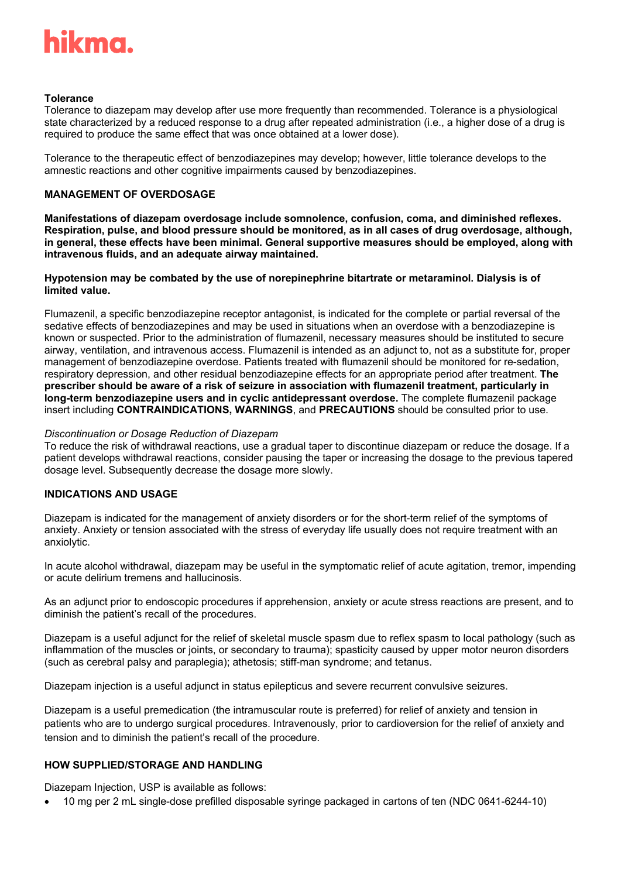

#### **Tolerance**

Tolerance to diazepam may develop after use more frequently than recommended. Tolerance is a physiological state characterized by a reduced response to a drug after repeated administration (i.e., a higher dose of a drug is required to produce the same effect that was once obtained at a lower dose).

Tolerance to the therapeutic effect of benzodiazepines may develop; however, little tolerance develops to the amnestic reactions and other cognitive impairments caused by benzodiazepines.

### **MANAGEMENT OF OVERDOSAGE**

**Manifestations of diazepam overdosage include somnolence, confusion, coma, and diminished reflexes. Respiration, pulse, and blood pressure should be monitored, as in all cases of drug overdosage, although, in general, these effects have been minimal. General supportive measures should be employed, along with intravenous fluids, and an adequate airway maintained.**

#### **Hypotension may be combated by the use of norepinephrine bitartrate or metaraminol. Dialysis is of limited value.**

Flumazenil, a specific benzodiazepine receptor antagonist, is indicated for the complete or partial reversal of the sedative effects of benzodiazepines and may be used in situations when an overdose with a benzodiazepine is known or suspected. Prior to the administration of flumazenil, necessary measures should be instituted to secure airway, ventilation, and intravenous access. Flumazenil is intended as an adjunct to, not as a substitute for, proper management of benzodiazepine overdose. Patients treated with flumazenil should be monitored for re-sedation, respiratory depression, and other residual benzodiazepine effects for an appropriate period after treatment. **The prescriber should be aware of a risk of seizure in association with flumazenil treatment, particularly in long-term benzodiazepine users and in cyclic antidepressant overdose.** The complete flumazenil package insert including **CONTRAINDICATIONS, WARNINGS**, and **PRECAUTIONS** should be consulted prior to use.

#### *Discontinuation or Dosage Reduction of Diazepam*

To reduce the risk of withdrawal reactions, use a gradual taper to discontinue diazepam or reduce the dosage. If a patient develops withdrawal reactions, consider pausing the taper or increasing the dosage to the previous tapered dosage level. Subsequently decrease the dosage more slowly.

# **INDICATIONS AND USAGE**

Diazepam is indicated for the management of anxiety disorders or for the short-term relief of the symptoms of anxiety. Anxiety or tension associated with the stress of everyday life usually does not require treatment with an anxiolytic.

In acute alcohol withdrawal, diazepam may be useful in the symptomatic relief of acute agitation, tremor, impending or acute delirium tremens and hallucinosis.

As an adjunct prior to endoscopic procedures if apprehension, anxiety or acute stress reactions are present, and to diminish the patient's recall of the procedures.

Diazepam is a useful adjunct for the relief of skeletal muscle spasm due to reflex spasm to local pathology (such as inflammation of the muscles or joints, or secondary to trauma); spasticity caused by upper motor neuron disorders (such as cerebral palsy and paraplegia); athetosis; stiff-man syndrome; and tetanus.

Diazepam injection is a useful adjunct in status epilepticus and severe recurrent convulsive seizures.

Diazepam is a useful premedication (the intramuscular route is preferred) for relief of anxiety and tension in patients who are to undergo surgical procedures. Intravenously, prior to cardioversion for the relief of anxiety and tension and to diminish the patient's recall of the procedure.

# **HOW SUPPLIED/STORAGE AND HANDLING**

Diazepam Injection, USP is available as follows:

• 10 mg per 2 mL single-dose prefilled disposable syringe packaged in cartons of ten (NDC 0641-6244-10)